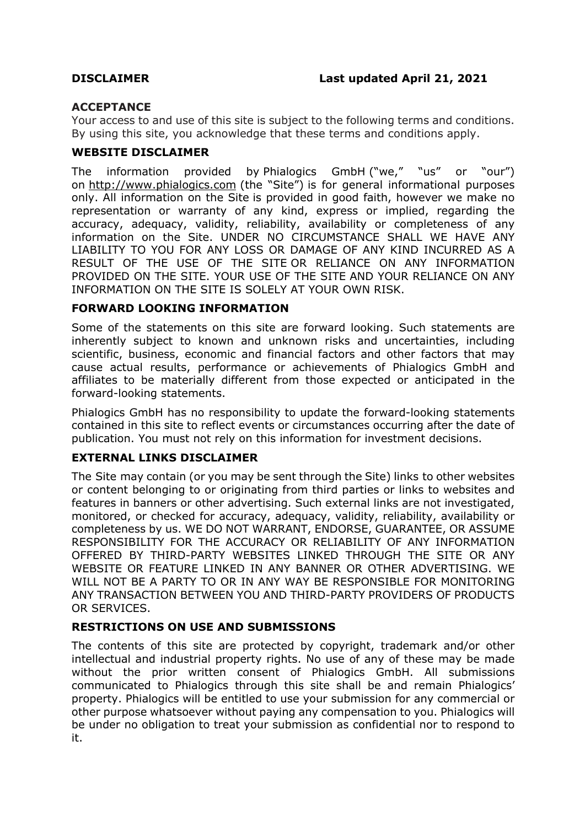# **ACCEPTANCE**

Your access to and use of this site is subject to the following terms and conditions. By using this site, you acknowledge that these terms and conditions apply.

# **WEBSITE DISCLAIMER**

The information provided by Phialogics GmbH ("we," "us" or "our") on http://www.phialogics.com (the "Site") is for general informational purposes only. All information on the Site is provided in good faith, however we make no representation or warranty of any kind, express or implied, regarding the accuracy, adequacy, validity, reliability, availability or completeness of any information on the Site. UNDER NO CIRCUMSTANCE SHALL WE HAVE ANY LIABILITY TO YOU FOR ANY LOSS OR DAMAGE OF ANY KIND INCURRED AS A RESULT OF THE USE OF THE SITE OR RELIANCE ON ANY INFORMATION PROVIDED ON THE SITE. YOUR USE OF THE SITE AND YOUR RELIANCE ON ANY INFORMATION ON THE SITE IS SOLELY AT YOUR OWN RISK.

# **FORWARD LOOKING INFORMATION**

Some of the statements on this site are forward looking. Such statements are inherently subject to known and unknown risks and uncertainties, including scientific, business, economic and financial factors and other factors that may cause actual results, performance or achievements of Phialogics GmbH and affiliates to be materially different from those expected or anticipated in the forward-looking statements.

Phialogics GmbH has no responsibility to update the forward-looking statements contained in this site to reflect events or circumstances occurring after the date of publication. You must not rely on this information for investment decisions.

# **EXTERNAL LINKS DISCLAIMER**

The Site may contain (or you may be sent through the Site) links to other websites or content belonging to or originating from third parties or links to websites and features in banners or other advertising. Such external links are not investigated, monitored, or checked for accuracy, adequacy, validity, reliability, availability or completeness by us. WE DO NOT WARRANT, ENDORSE, GUARANTEE, OR ASSUME RESPONSIBILITY FOR THE ACCURACY OR RELIABILITY OF ANY INFORMATION OFFERED BY THIRD-PARTY WEBSITES LINKED THROUGH THE SITE OR ANY WEBSITE OR FEATURE LINKED IN ANY BANNER OR OTHER ADVERTISING. WE WILL NOT BE A PARTY TO OR IN ANY WAY BE RESPONSIBLE FOR MONITORING ANY TRANSACTION BETWEEN YOU AND THIRD-PARTY PROVIDERS OF PRODUCTS OR SERVICES.

# **RESTRICTIONS ON USE AND SUBMISSIONS**

The contents of this site are protected by copyright, trademark and/or other intellectual and industrial property rights. No use of any of these may be made without the prior written consent of Phialogics GmbH. All submissions communicated to Phialogics through this site shall be and remain Phialogics' property. Phialogics will be entitled to use your submission for any commercial or other purpose whatsoever without paying any compensation to you. Phialogics will be under no obligation to treat your submission as confidential nor to respond to it.